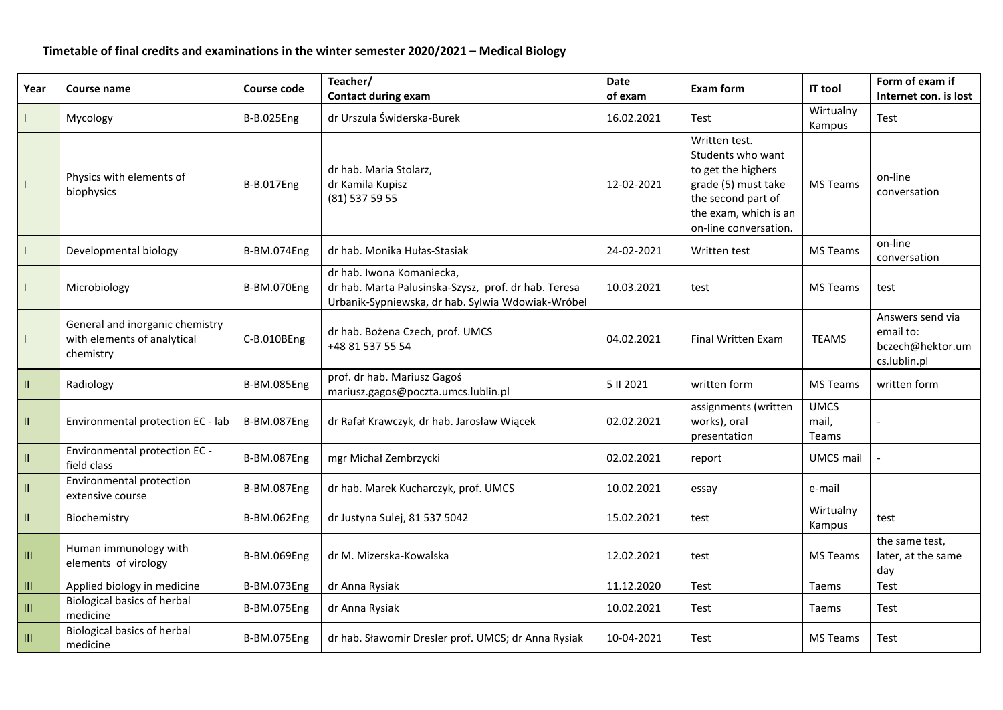## **Timetable of final credits and examinations in the winter semester 2020/2021 – Medical Biology**

| Year                               | Course name                                                                 | Course code        | Teacher/<br><b>Contact during exam</b>                                                                                                 | Date<br>of exam | <b>Exam form</b>                                                                                                                                        | <b>IT tool</b>                | Form of exam if<br>Internet con. is lost                          |
|------------------------------------|-----------------------------------------------------------------------------|--------------------|----------------------------------------------------------------------------------------------------------------------------------------|-----------------|---------------------------------------------------------------------------------------------------------------------------------------------------------|-------------------------------|-------------------------------------------------------------------|
|                                    | Mycology                                                                    | <b>B-B.025Eng</b>  | dr Urszula Świderska-Burek                                                                                                             | 16.02.2021      | Test                                                                                                                                                    | Wirtualny<br>Kampus           | Test                                                              |
|                                    | Physics with elements of<br>biophysics                                      | <b>B-B.017Eng</b>  | dr hab. Maria Stolarz,<br>dr Kamila Kupisz<br>(81) 537 59 55                                                                           | 12-02-2021      | Written test.<br>Students who want<br>to get the highers<br>grade (5) must take<br>the second part of<br>the exam, which is an<br>on-line conversation. | MS Teams                      | on-line<br>conversation                                           |
| $\mathbf{I}$                       | Developmental biology                                                       | B-BM.074Eng        | dr hab. Monika Hułas-Stasiak                                                                                                           | 24-02-2021      | Written test                                                                                                                                            | MS Teams                      | on-line<br>conversation                                           |
|                                    | Microbiology                                                                | <b>B-BM.070Eng</b> | dr hab. Iwona Komaniecka,<br>dr hab. Marta Palusinska-Szysz, prof. dr hab. Teresa<br>Urbanik-Sypniewska, dr hab. Sylwia Wdowiak-Wróbel | 10.03.2021      | test                                                                                                                                                    | <b>MS Teams</b>               | test                                                              |
|                                    | General and inorganic chemistry<br>with elements of analytical<br>chemistry | C-B.010BEng        | dr hab. Bożena Czech, prof. UMCS<br>+48 81 537 55 54                                                                                   | 04.02.2021      | <b>Final Written Exam</b>                                                                                                                               | <b>TEAMS</b>                  | Answers send via<br>email to:<br>bczech@hektor.um<br>cs.lublin.pl |
| $\ensuremath{\mathsf{II}}\xspace$  | Radiology                                                                   | B-BM.085Eng        | prof. dr hab. Mariusz Gagoś<br>mariusz.gagos@poczta.umcs.lublin.pl                                                                     | 5 II 2021       | written form                                                                                                                                            | <b>MS Teams</b>               | written form                                                      |
| Ш                                  | Environmental protection EC - lab                                           | B-BM.087Eng        | dr Rafał Krawczyk, dr hab. Jarosław Wiącek                                                                                             | 02.02.2021      | assignments (written<br>works), oral<br>presentation                                                                                                    | <b>UMCS</b><br>mail,<br>Teams |                                                                   |
| $\rm H$                            | Environmental protection EC -<br>field class                                | B-BM.087Eng        | mgr Michał Zembrzycki                                                                                                                  | 02.02.2021      | report                                                                                                                                                  | <b>UMCS mail</b>              |                                                                   |
| $\mathbf{II}$                      | Environmental protection<br>extensive course                                | B-BM.087Eng        | dr hab. Marek Kucharczyk, prof. UMCS                                                                                                   | 10.02.2021      | essay                                                                                                                                                   | e-mail                        |                                                                   |
| $\mathbf{H}$                       | Biochemistry                                                                | B-BM.062Eng        | dr Justyna Sulej, 81 537 5042                                                                                                          | 15.02.2021      | test                                                                                                                                                    | Wirtualny<br>Kampus           | test                                                              |
| Ш                                  | Human immunology with<br>elements of virology                               | B-BM.069Eng        | dr M. Mizerska-Kowalska                                                                                                                | 12.02.2021      | test                                                                                                                                                    | <b>MS Teams</b>               | the same test,<br>later, at the same<br>day                       |
| Ш                                  | Applied biology in medicine                                                 | B-BM.073Eng        | dr Anna Rysiak                                                                                                                         | 11.12.2020      | Test                                                                                                                                                    | Taems                         | Test                                                              |
| $\ensuremath{\mathsf{III}}\xspace$ | <b>Biological basics of herbal</b><br>medicine                              | B-BM.075Eng        | dr Anna Rysiak                                                                                                                         | 10.02.2021      | Test                                                                                                                                                    | Taems                         | Test                                                              |
| $\ensuremath{\mathsf{III}}\xspace$ | <b>Biological basics of herbal</b><br>medicine                              | B-BM.075Eng        | dr hab. Sławomir Dresler prof. UMCS; dr Anna Rysiak                                                                                    | 10-04-2021      | Test                                                                                                                                                    | <b>MS Teams</b>               | Test                                                              |